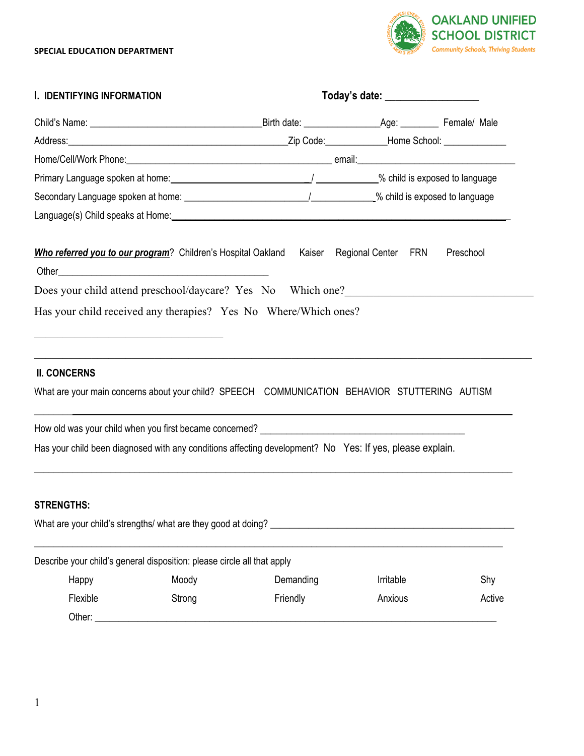

| I. IDENTIFYING INFORMATION                                              |        | Today's date: ___________________                                                                        |                     |           |  |
|-------------------------------------------------------------------------|--------|----------------------------------------------------------------------------------------------------------|---------------------|-----------|--|
|                                                                         |        |                                                                                                          |                     |           |  |
|                                                                         |        |                                                                                                          |                     |           |  |
|                                                                         |        |                                                                                                          |                     |           |  |
|                                                                         |        |                                                                                                          |                     |           |  |
|                                                                         |        |                                                                                                          |                     |           |  |
|                                                                         |        |                                                                                                          |                     |           |  |
| Who referred you to our program? Children's Hospital Oakland            |        | Kaiser                                                                                                   | Regional Center FRN | Preschool |  |
|                                                                         |        | Does your child attend preschool/daycare? Yes No Which one?                                              |                     |           |  |
|                                                                         |        | Has your child received any therapies? Yes No Where/Which ones?                                          |                     |           |  |
|                                                                         |        |                                                                                                          |                     |           |  |
|                                                                         |        |                                                                                                          |                     |           |  |
| <b>II. CONCERNS</b>                                                     |        |                                                                                                          |                     |           |  |
|                                                                         |        | What are your main concerns about your child? SPEECH COMMUNICATION BEHAVIOR STUTTERING AUTISM            |                     |           |  |
|                                                                         |        |                                                                                                          |                     |           |  |
|                                                                         |        | Has your child been diagnosed with any conditions affecting development? No Yes: If yes, please explain. |                     |           |  |
|                                                                         |        |                                                                                                          |                     |           |  |
|                                                                         |        |                                                                                                          |                     |           |  |
| <b>STRENGTHS:</b>                                                       |        |                                                                                                          |                     |           |  |
|                                                                         |        |                                                                                                          |                     |           |  |
| Describe your child's general disposition: please circle all that apply |        |                                                                                                          |                     |           |  |
| Happy                                                                   | Moody  | Demanding                                                                                                | Irritable           | Shy       |  |
| Flexible                                                                | Strong | Friendly                                                                                                 | Anxious             | Active    |  |
| Other: $\_\_$                                                           |        |                                                                                                          |                     |           |  |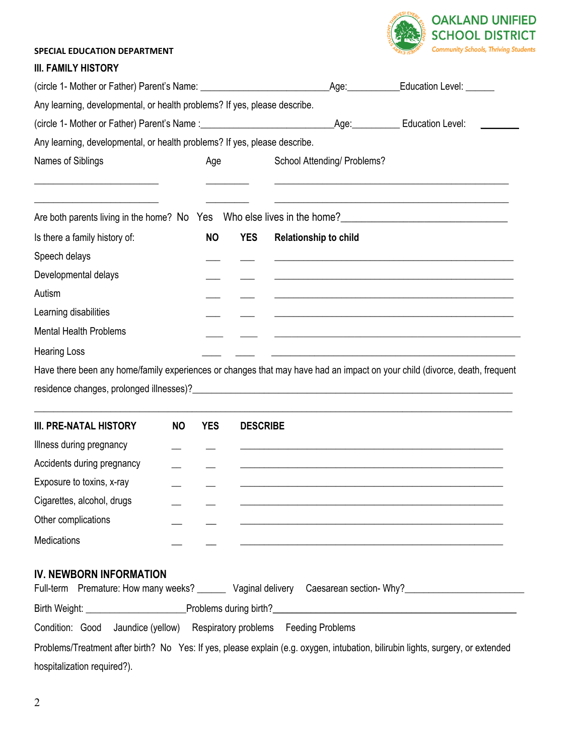

## **III. FAMILY HISTORY**

| Any learning, developmental, or health problems? If yes, please describe.                                                  |            |                                                                                                                                                |                              |                                                                                                                       |  |  |
|----------------------------------------------------------------------------------------------------------------------------|------------|------------------------------------------------------------------------------------------------------------------------------------------------|------------------------------|-----------------------------------------------------------------------------------------------------------------------|--|--|
|                                                                                                                            |            |                                                                                                                                                |                              |                                                                                                                       |  |  |
| Any learning, developmental, or health problems? If yes, please describe.                                                  |            |                                                                                                                                                |                              |                                                                                                                       |  |  |
| Names of Siblings<br>Age                                                                                                   |            | School Attending/ Problems?<br>the contract of the contract of the contract of the contract of the contract of the contract of the contract of |                              |                                                                                                                       |  |  |
| Are both parents living in the home? No Yes Who else lives in the home?                                                    |            |                                                                                                                                                |                              |                                                                                                                       |  |  |
| Is there a family history of:                                                                                              | <b>NO</b>  | <b>YES</b>                                                                                                                                     | <b>Relationship to child</b> |                                                                                                                       |  |  |
| Speech delays                                                                                                              |            |                                                                                                                                                |                              | and the control of the control of the control of the control of the control of the control of the control of the      |  |  |
| Developmental delays                                                                                                       |            |                                                                                                                                                |                              | <u> 1990 - Johann Stoff, amerikansk politiker (d. 1980)</u>                                                           |  |  |
| Autism                                                                                                                     |            |                                                                                                                                                |                              |                                                                                                                       |  |  |
| Learning disabilities                                                                                                      |            |                                                                                                                                                |                              |                                                                                                                       |  |  |
| <b>Mental Health Problems</b>                                                                                              |            |                                                                                                                                                |                              | <u> 1989 - Johann Harry Harry Harry Harry Harry Harry Harry Harry Harry Harry Harry Harry Harry Harry Harry Harry</u> |  |  |
| <b>Hearing Loss</b>                                                                                                        |            |                                                                                                                                                |                              |                                                                                                                       |  |  |
| Have there been any home/family experiences or changes that may have had an impact on your child (divorce, death, frequent |            |                                                                                                                                                |                              |                                                                                                                       |  |  |
|                                                                                                                            |            |                                                                                                                                                |                              |                                                                                                                       |  |  |
| <b>NO</b><br><b>III. PRE-NATAL HISTORY</b>                                                                                 | <b>YES</b> | <b>DESCRIBE</b>                                                                                                                                |                              |                                                                                                                       |  |  |

| <b>III. PRE-NATAL HISTORY</b> | <b>NO</b> | <b>YES</b> | <b>DESCRIBE</b> |
|-------------------------------|-----------|------------|-----------------|
| Illness during pregnancy      |           |            |                 |
| Accidents during pregnancy    |           |            |                 |
| Exposure to toxins, x-ray     |           |            |                 |
| Cigarettes, alcohol, drugs    |           |            |                 |
| Other complications           |           |            |                 |
| Medications                   |           |            |                 |

# **IV. NEWBORN INFORMATION**

|                                                                                                                                 |  | Full-term Premature: How many weeks? |                        | Vaginal delivery Caesarean section- Why? |  |  |
|---------------------------------------------------------------------------------------------------------------------------------|--|--------------------------------------|------------------------|------------------------------------------|--|--|
|                                                                                                                                 |  | Birth Weight: _________________      | Problems during birth? |                                          |  |  |
| Condition: Good                                                                                                                 |  | Jaundice (yellow)                    | Respiratory problems   | <b>Feeding Problems</b>                  |  |  |
| Problems/Treatment after birth? No Yes: If yes, please explain (e.g. oxygen, intubation, bilirubin lights, surgery, or extended |  |                                      |                        |                                          |  |  |
|                                                                                                                                 |  |                                      |                        |                                          |  |  |

hospitalization required?).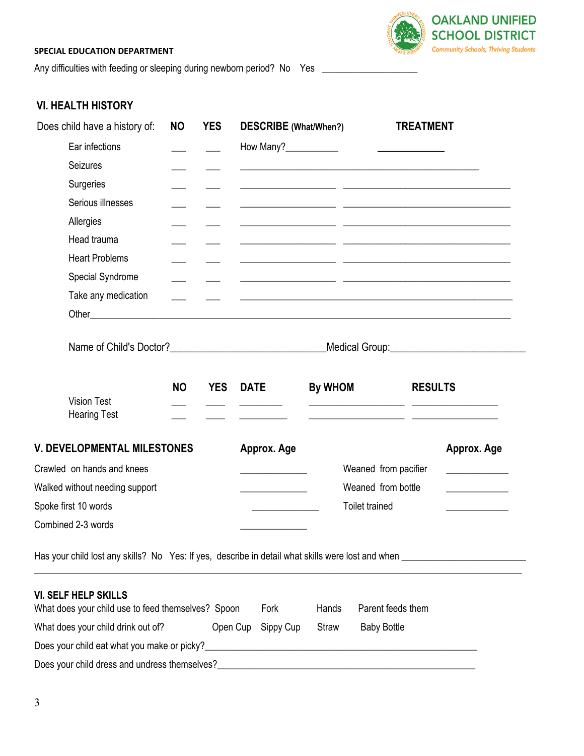Any difficulties with feeding or sleeping during newborn period? No Yes \_\_\_\_\_\_\_\_\_\_\_\_\_\_



# **VI. HEALTH HISTORY**

|                                | Does child have a history of:                                                     | <b>NO</b> | <b>YES</b> | <b>DESCRIBE</b> (What/When?)                               |                       |                                                 | <b>TREATMENT</b> |                                                                                                                      |
|--------------------------------|-----------------------------------------------------------------------------------|-----------|------------|------------------------------------------------------------|-----------------------|-------------------------------------------------|------------------|----------------------------------------------------------------------------------------------------------------------|
|                                | Ear infections                                                                    |           |            |                                                            |                       |                                                 |                  |                                                                                                                      |
|                                | Seizures                                                                          |           |            |                                                            |                       |                                                 |                  |                                                                                                                      |
|                                | Surgeries                                                                         |           |            |                                                            |                       |                                                 |                  |                                                                                                                      |
|                                | Serious illnesses                                                                 |           |            |                                                            |                       | <u> 1989 - Johann John Stein, mars et al. (</u> |                  |                                                                                                                      |
|                                | Allergies                                                                         |           |            |                                                            |                       |                                                 |                  | <u> 1989 - Jan James James, francuski politik (d. 1989)</u>                                                          |
|                                | Head trauma                                                                       |           |            |                                                            |                       |                                                 |                  | <u> 1990 - Jan James James Barnett, fransk politik (d. 1980)</u>                                                     |
|                                | <b>Heart Problems</b>                                                             |           |            |                                                            |                       |                                                 |                  | <u> 1999 - Jan James James (f. 1989)</u>                                                                             |
|                                | Special Syndrome                                                                  |           |            | <u> 1999 - Johann John Stein, fransk politik (d. 1989)</u> |                       |                                                 |                  |                                                                                                                      |
|                                | Take any medication                                                               |           |            |                                                            |                       |                                                 |                  |                                                                                                                      |
|                                |                                                                                   |           |            |                                                            |                       |                                                 |                  |                                                                                                                      |
|                                |                                                                                   |           |            |                                                            |                       |                                                 |                  | Medical Group: Medical Superior Contract on the Medical Group:                                                       |
|                                | <b>Vision Test</b><br><b>Hearing Test</b>                                         | <b>NO</b> | <b>YES</b> | <b>DATE</b>                                                | <b>By WHOM</b>        |                                                 | <b>RESULTS</b>   |                                                                                                                      |
|                                | <b>V. DEVELOPMENTAL MILESTONES</b>                                                |           |            | Approx. Age                                                |                       |                                                 |                  | Approx. Age                                                                                                          |
|                                | Crawled on hands and knees                                                        |           |            | the control of the control of the                          |                       | Weaned from pacifier                            |                  | <u> 1989 - Jan Stein Stein Stein Stein Stein Stein Stein Stein Stein Stein Stein Stein Stein Stein Stein Stein S</u> |
| Walked without needing support |                                                                                   |           |            | the control of the control of the control of               |                       | Weaned from bottle                              |                  | <u> 1999 - Johann Barbara, martin a</u>                                                                              |
| Spoke first 10 words           |                                                                                   |           |            |                                                            | <b>Toilet trained</b> |                                                 |                  |                                                                                                                      |
|                                | Combined 2-3 words                                                                |           |            |                                                            |                       |                                                 |                  |                                                                                                                      |
|                                |                                                                                   |           |            |                                                            |                       |                                                 |                  |                                                                                                                      |
|                                | <b>VI. SELF HELP SKILLS</b><br>What does your child use to feed themselves? Spoon |           |            | Fork                                                       | Hands                 | Parent feeds them                               |                  |                                                                                                                      |
|                                | What does your child drink out of?                                                |           | Open Cup   | Sippy Cup                                                  | <b>Straw</b>          | <b>Baby Bottle</b>                              |                  |                                                                                                                      |
|                                |                                                                                   |           |            |                                                            |                       |                                                 |                  |                                                                                                                      |
|                                | Does your child dress and undress themselves?                                     |           |            |                                                            |                       | <u> 1980 - Andrea Andrew Maria (h. 1980).</u>   |                  |                                                                                                                      |